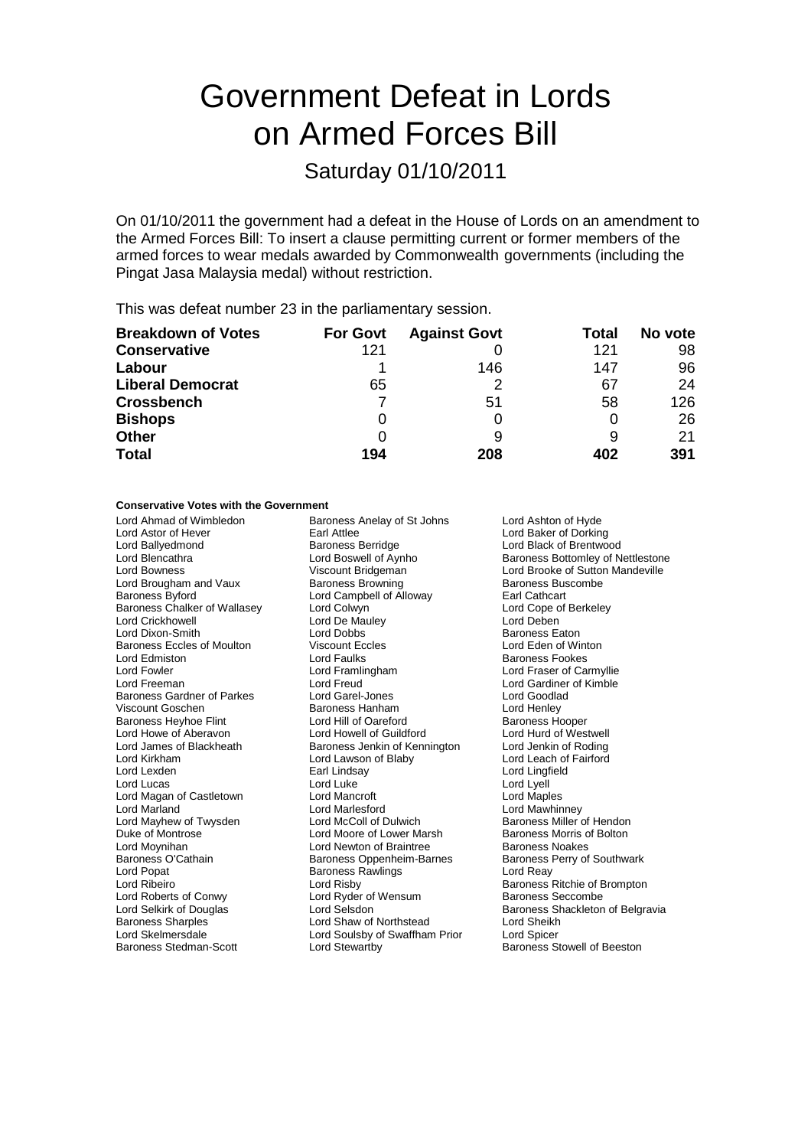# Government Defeat in Lords on Armed Forces Bill

## Saturday 01/10/2011

On 01/10/2011 the government had a defeat in the House of Lords on an amendment to the Armed Forces Bill: To insert a clause permitting current or former members of the armed forces to wear medals awarded by Commonwealth governments (including the Pingat Jasa Malaysia medal) without restriction.

This was defeat number 23 in the parliamentary session.

| <b>Breakdown of Votes</b> | <b>For Govt</b> | <b>Against Govt</b> | Total | No vote |
|---------------------------|-----------------|---------------------|-------|---------|
| <b>Conservative</b>       | 121             |                     | 121   | 98      |
| Labour                    |                 | 146                 | 147   | 96      |
| <b>Liberal Democrat</b>   | 65              |                     | 67    | 24      |
| <b>Crossbench</b>         |                 | 51                  | 58    | 126     |
| <b>Bishops</b>            | 0               | 0                   |       | 26      |
| <b>Other</b>              |                 | 9                   |       | 21      |
| <b>Total</b>              | 194             | 208                 | 402   | 391     |

#### **Conservative Votes with the Government**

Lord Astor of Hever **Earl Attlee** Lord Baker of Dorking<br>
Lord Ballvedmond **Earl Baroness Berridge** Lord Black of Brentwork Lord Ballyedmond **Baroness Berridge** Cord Black of Brentwood<br>
Lord Bencathra **Baroness Berridge** Lord Boswell of Aynho<br>
Baroness Bottomley of N Lord Brougham and Vaux **Baroness Browning** Baroness Baroness Buscombe Baroness Byford **Earl Campbell of Alloway** Earl Cathcart<br>Baroness Chalker of Wallasey **Lord Colwyn** Colwyn **Earl Cathcart** Lord Cope of Berkeley Baroness Chalker of Wallasey Lord Colwyn Cope compared the Cope of Berkeley Cope of Berkeley Corp Lord Cope of<br>
Lord Crickhowell Corp Lord Deben Lord Crickhowell Lord De Mauley Lord Deben **Lord Dixon-Smith** Baroness Eccles of Moulton Viscount Eccles Lord Eden of Winton Lord Edmiston Lord Faulks Baroness Fookes Lord Fowler Lord Framlingham Lord Fraser of Carmyllie Baroness Gardner of Parkes Lord Garel-Jones<br>
Viscount Goschen Corea Baroness Hanham<br>
Lord Henley Baroness Heyhoe Flint Lord Hill of Oareford Baroness Hooper<br>
Lord Howe of Aberavon Lord Howell of Guildford Lord Hurd of Westwell Lord Howe of Aberavon Lord Howell of Guildford Lord Hurd of Westwell<br>
Lord James of Blackheath Baroness Jenkin of Kennington Lord Jenkin of Roding Lord James of Blackheath Baroness Jenkin of Kennington Lord Jenkin of Roding<br>Lord Kirkham Lord Lawson of Blaby Lord Leach of Fairford Lord Kirkham Lord Lawson of Blaby<br>
Lord Lexden Farl Lindsay Lord Lucas Lord Luke Lord Luke Lord Luke Lord Lord Lyell<br>Lord Magan of Castletown Lord Mancroft Lord Magan Lord Maples Lord Magan of Castletown Lord Marland Lord Marlesford Lord Mawhinney Lord Mayhew of Twysden Lord McColl of Dulwich Baroness Miller of Hendon<br>
Duke of Montrose **Baroness Morth** Lord Moore of Lower Marsh Baroness Morris of Bolton Duke of Montrose **Lord Moore of Lower Marsh Baroness Morris Corresponding Corresponding Corresponding Corresponding Corresponding Corresponding Lord Newton of Braintree Baroness Noakes** Baroness O'Cathain Baroness Oppenheim-Barnes Baroness Perry of Southwark Lord Ribeiro **Lord Risby** Baroness Ritchie of Brompton<br>
Lord Roberts of Conwy Lord Ryder of Wensum<br>
Baroness Seccombe Lord Roberts of Conwy Lord Ryder of Wensum Baroness Seccombe Baroness Sharples Lord Shaw of Northstead Lord Sheikh Lord Skelmersdale<br>
Raroness Stedman-Scott Lord Stewarthy<br>
Lord Stewarthy

Lord Ahmad of Wimbledon **Baroness Anelay of St Johns** Lord Ashton of Hyde<br>
Lord Astor of Hever **Baron Earl Attlee Lord Baker of Dorkin** Lord Freud The State Lord Gardiner of Kimble<br>
Lord Garel-Jones Cord Goodlad **Viscount Baroness Hanham Lord Henley<br>
Lord Hill of Oareford Baroness Hooper** Earl Lindsay **Lord Lingfield**<br>
Lord Luke Lord Lyell Lord Newton of Braintree **Baroness Noakes**<br>Baroness Oppenheim-Barnes Baroness Perry of Southwark Baroness Rawlings Lord Stewartby **Baroness Stowell of Beeston** 

Baroness Bottomley of Nettlestone Lord Bowness Viscount Bridgeman Lord Brooke of Sutton Mandeville Lord Selkirk of Douglas Cord Selsdon<br>
Lord Shav of Northstead Baroness Shackleton of Belgravia<br>
Lord Shav of Northstead Lord Sheikh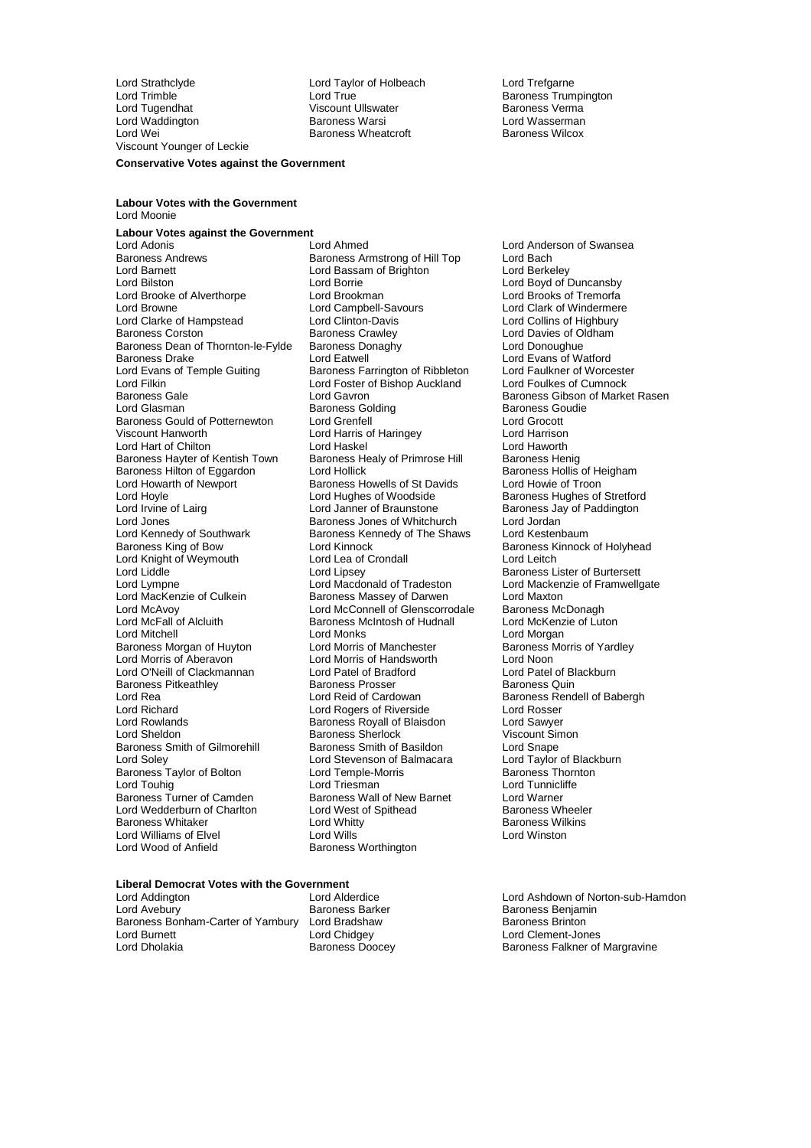Lord Strathclyde Lord Taylor of Holbeach Lord Trefgarne Lord Trimble Lord True Baroness Trumpington Lord Waddington Baroness Warsi Lord Wasserman Viscount Younger of Leckie **Conservative Votes against the Government**

Viscount Ullswater **Baroness Verma**<br>Baroness Warsi **Baroness Verman Baroness Wheatcroft** 

#### **Labour Votes with the Government** Lord Moonie

**Labour Votes against the Government** Lord Barnett **Lord Bassam of Brighton**<br>
Lord Bilston **Lord Borrie** Lord Brooke of Alverthorpe Lord Brookman<br>
Lord Browne Lord Campbell-Savours Lord Clarke of Hampstead Lord Clinton-Davis<br>
Baroness Corston Constant Baroness Crawley Baroness Dean of Thornton-le-Fylde Baroness Donaghy Dean of Thornton-le-Fylde Lord Eatwell Lord Filkin Lord Foster of Bishop Auckland<br>
Baroness Gale<br>
Lord Gavron Lord Kennedy of Southwark Baroness Kennedy of The Shaws<br>Baroness King of Bow Lord Kinnock Lord Knight of Weymouth Lord MacKenzie of Culkein Baroness Massey of Darwen Lord Maxton<br>
Lord McAvoy Lord McConnell of Glenscorrodale Baroness McDonagh<br>
Lord McFall of Alcluith Baroness McIntosh of Hudnall Lord McKenzie of Lut Baroness Pitkeathley Baroness Prosser<br>
Baroness Pitkeathley<br>
Lord Reid of Cardowan Lord Richard Lord Rogers of Riverside<br>
Lord Rowlands<br>
Baroness Royall of Blaisc Baroness Taylor of Bolton Lord Temple-M<br>
Lord Touhig Correspondent Lord Triesman Lord Williams of Elvel<br>Lord Wood of Anfield

Lord Adonis **Lord Ahmed** Lord Ahmed Lord Anderson of Swansea<br>
Baroness Andrews Baroness Armstrong of Hill Top Lord Bach Baroness Armstrong of Hill Top Lord Bach<br>
Lord Bassam of Brighton Lord Berkeley Lord Borrie Lord Borrie Lord Borrie Lord Borrie Lord Boyd of Duncansby<br>Lord Brookman Lord Brooks of Tremorfa Lord Campbell-Savours<br>
Lord Clinton-Davis<br>
Lord Collins of Highbury Baroness Crawley **Corstol Baroness Crawley Lord Davies of Oldham**<br>Baroness Donaghy **Corstol Baroness Corstol** Lord Donoughue Baroness Drake **Lord Eatwell** Lord Eatwell **Lord Evans of Watford**<br>
Lord Evans of Temple Guiting **Baroness Farrington of Ribbleton** Lord Faulkner of Worcester Lord Evans of Temple Guiting Baroness Farrington of Ribbleton Lord Faulkner of Worceste<br>Lord Filkin Lord Foster of Bishop Auckland Lord Foulkes of Cumnock Baroness Gale **Example 2018**<br>
Lord Gavron Baroness Gibson of Market Rasen<br>
Lord Glasman Baroness Golding Baroness Golding Baroness Goldina **Baroness Golding Communist Baroness Gouding Baroness Goudie Baroness Goudie Baroness Goudie Baroness Goudie B**<br> **Baroness Goudie Baroness Goudie Baroness Goudie Baroness Goudie Baroness Goudie Baroness Goudie Baroness Gou** Baroness Gould of Potternewton Lord Grenfell<br>
Lord Lord Harris of Harringey Lord Harris (Lord Harrison Lord Harrison Lord Harris of Haringey Lord Hart of Chilton **Lord Haskel** Lord Haskel Lord Haworth<br>Baroness Hayter of Kentish Town Baroness Healy of Primrose Hill Baroness Henig Baroness Hayter of Kentish Town Baroness Healy of Primrose Hill Baroness Henig<br>Baroness Hilton of Eggardon Lord Hollick Baroness Hollis of Heigham Baroness Hilton of Eggardon Lord Hollick (Baroness Hollis of Heigham Baroness Hollis of Heigham Baroness Howells of St Davids (Baroness Howle of Troon Baroness Howells of St Davids<br>Lord Hughes of Woodside Lord Hoyle **Lord Hughes of Woodside** Baroness Hughes of Stretford<br>
Lord Janner of Braunstone Baroness Jay of Paddington Lord Irvine of Lairg **Lord Lord Janner of Braunstone** Baroness Jay of Paddington<br>
Lord Jones<br>
Lord Jordan Lord Jones<br>
Lord Kennedy of Southwark Baroness Kennedy of The Shaws Lord Kestenbaum<br>
Lord Kestenbaum Lord Kinnock **Communist Communist Communist Communist Communist Communist Communist Communist Communist Communist Communist Communist Communist Communist Communist Communist Communist Communist Communist Communist Communis** Lord Liddle Liddle Lord Lipsey Lord Lipsey Cord Lines Baroness Lister of Burtersett<br>Lord Lympne Lord Macdonald of Tradeston Lord Mackenzie of Framwell Lord Lympne Lord Macdonald of Tradeston Lord Mackenzie of Framwellgate<br>
Lord MacKenzie of Culkein Baroness Massey of Darwen Lord Maxton Lord McConnell of Glenscorrodale Baroness McDonagh<br>Baroness McIntosh of Hudnall Lord McKenzie of Luton Exercise McIntosh of Hudnall Lord McKenzie of Alchenzie of McKenzie of McKenzie of McKenzie of McKenzie of Mc Lord Mitchell<br>
Baroness Morgan of Huyton Lord Morris of Manchester Baroness Morris of Yardley Baroness Morgan of Huyton Lord Morris of Manchester Baroness Norgan of Huyton Lord Morris of Handsworth Lord Noon Lord Morris of Handsworth Lord Noon<br>
Lord Patel of Bradford Lord Patel of Blackburn Lord O'Neill of Clackmannan Lord Patel of Bradford Lord Patel of Bradford Lord Patel of Bradford Lord Patel of Bradford Lord Patel of Bradford Lord Patel of Bradford Lord Patel of Bradford Baroness Quin Lord Rea Lord Reid of Cardowan Baroness Rendell of Babergh<br>
Lord Richard Lord Rogers of Riverside Lord Rosser Lord Rowlands Baroness Royall of Blaisdon Lord Sawyer Baroness Sherlock viscount Sir<br>
Baroness Smith of Basildon Lord Snape Baroness Smith of Gilmorehill Baroness Smith of Basildon Lord Snape<br>
Lord Soley Lord Stevenson of Balmacara Lord Taylor of Blackburn Lord Stevenson of Balmacara Lord Taylor of Black<br>Lord Temple-Morris Baroness Thornton Lord Touhig Lord Triesman Lord Triesman Lord Tunnicliffe<br>
Baroness Turner of Camden Baroness Wall of New Barnet Lord Warner Baroness Wall of New Barnet Lord Warner<br>
Lord West of Spithead Baroness Wheeler Lord Wedderburn of Charlton **Lord West of Spithead** Baroness Wheele<br>Baroness Whitaker **Lord Whitty** Charless Wilkins Baroness Whitaker **Lord Whitty Communist Communist Communist** Baroness Will<br>
Lord Williams of Elvel **Baroness Williams** Lord Wills Baroness Worthington

## **Liberal Democrat Votes with the Government**

Baroness Bonham-Carter of Yarnbury Lord Bradshaw<br>Lord Burnett Baroness Bondev Lord Burnett **Lord Chidgey** Lord Chidgey Lord Clement-Jones<br>
Lord Dholakia **China Burnet Burnet Child Clement**<br>
Baroness Falkner of

Lord Addington Lord Alderdice Lord Ashdown of Norton-sub-Hamdon Baroness Benjamin<br>Baroness Brinton Baroness Falkner of Margravine